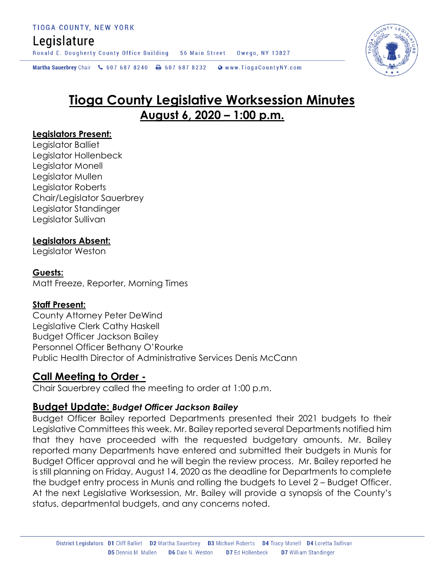# Legislature

Ronald E. Dougherty County Office Building 56 Main Street Owego, NY 13827

Martha Sauerbrey Chair & 607 687 8240 \ 607 687 8232 \ @ www.TiogaCountyNY.com

# **Tioga County Legislative Worksession Minutes August 6, 2020 – 1:00 p.m.**

#### **Legislators Present:**

Legislator Balliet Legislator Hollenbeck Legislator Monell Legislator Mullen Legislator Roberts Chair/Legislator Sauerbrey Legislator Standinger Legislator Sullivan

### **Legislators Absent:**

Legislator Weston

#### **Guests:**

Matt Freeze, Reporter, Morning Times

### **Staff Present:**

County Attorney Peter DeWind Legislative Clerk Cathy Haskell Budget Officer Jackson Bailey Personnel Officer Bethany O'Rourke Public Health Director of Administrative Services Denis McCann

## **Call Meeting to Order -**

Chair Sauerbrey called the meeting to order at 1:00 p.m.

### **Budget Update:** *Budget Officer Jackson Bailey*

Budget Officer Bailey reported Departments presented their 2021 budgets to their Legislative Committees this week. Mr. Bailey reported several Departments notified him that they have proceeded with the requested budgetary amounts. Mr. Bailey reported many Departments have entered and submitted their budgets in Munis for Budget Officer approval and he will begin the review process. Mr. Bailey reported he is still planning on Friday, August 14, 2020 as the deadline for Departments to complete the budget entry process in Munis and rolling the budgets to Level 2 – Budget Officer. At the next Legislative Worksession, Mr. Bailey will provide a synopsis of the County's status, departmental budgets, and any concerns noted.

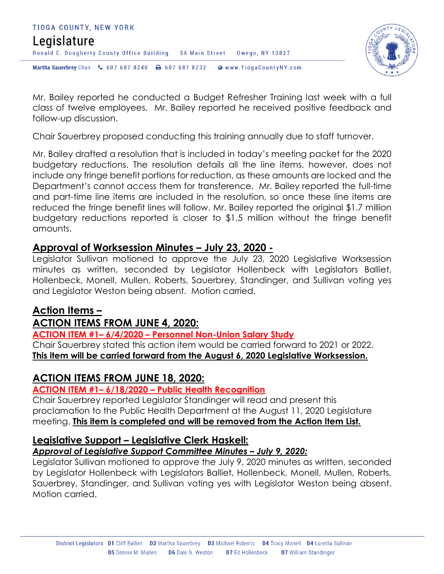



Mr. Bailey reported he conducted a Budget Refresher Training last week with a full class of twelve employees. Mr. Bailey reported he received positive feedback and follow-up discussion.

Chair Sauerbrey proposed conducting this training annually due to staff turnover.

Mr. Bailey drafted a resolution that is included in today's meeting packet for the 2020 budgetary reductions. The resolution details all the line items, however, does not include any fringe benefit portions for reduction, as these amounts are locked and the Department's cannot access them for transference. Mr. Bailey reported the full-time and part-time line items are included in the resolution, so once these line items are reduced the fringe benefit lines will follow. Mr. Bailey reported the original \$1.7 million budgetary reductions reported is closer to \$1.5 million without the fringe benefit amounts.

## **Approval of Worksession Minutes – July 23, 2020 -**

Legislator Sullivan motioned to approve the July 23, 2020 Legislative Worksession minutes as written, seconded by Legislator Hollenbeck with Legislators Balliet, Hollenbeck, Monell, Mullen, Roberts, Sauerbrey, Standinger, and Sullivan voting yes and Legislator Weston being absent. Motion carried.

## **Action Items –**

## **ACTION ITEMS FROM JUNE 4, 2020:**

**ACTION ITEM #1– 6/4/2020 – Personnel Non-Union Salary Study**

Chair Sauerbrey stated this action item would be carried forward to 2021 or 2022. **This item will be carried forward from the August 6, 2020 Legislative Worksession.** 

## **ACTION ITEMS FROM JUNE 18, 2020:**

### **ACTION ITEM #1– 6/18/2020 – Public Health Recognition**

Chair Sauerbrey reported Legislator Standinger will read and present this proclamation to the Public Health Department at the August 11, 2020 Legislature meeting. **This item is completed and will be removed from the Action Item List.** 

## **Legislative Support – Legislative Clerk Haskell:**

### *Approval of Legislative Support Committee Minutes – July 9, 2020:*

Legislator Sullivan motioned to approve the July 9, 2020 minutes as written, seconded by Legislator Hollenbeck with Legislators Balliet, Hollenbeck, Monell, Mullen, Roberts, Sauerbrey, Standinger, and Sullivan voting yes with Legislator Weston being absent. Motion carried.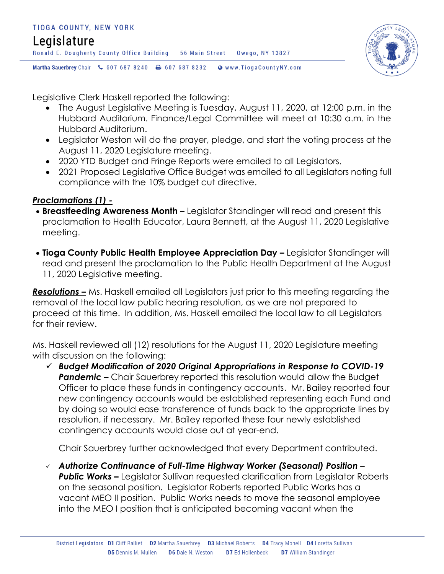

Legislative Clerk Haskell reported the following:

- The August Legislative Meeting is Tuesday, August 11, 2020, at 12:00 p.m. in the Hubbard Auditorium. Finance/Legal Committee will meet at 10:30 a.m. in the Hubbard Auditorium.
- Legislator Weston will do the prayer, pledge, and start the voting process at the August 11, 2020 Legislature meeting.
- 2020 YTD Budget and Fringe Reports were emailed to all Legislators.
- 2021 Proposed Leaislative Office Budaet was emailed to all Leaislators notina full compliance with the 10% budget cut directive.

## *Proclamations (1) -*

- **Breastfeeding Awareness Month –** Legislator Standinger will read and present this proclamation to Health Educator, Laura Bennett, at the August 11, 2020 Legislative meeting.
- **Tioga County Public Health Employee Appreciation Day Legislator Standinger will** read and present the proclamation to the Public Health Department at the August 11, 2020 Legislative meeting.

*Resolutions –* Ms. Haskell emailed all Legislators just prior to this meeting regarding the removal of the local law public hearing resolution, as we are not prepared to proceed at this time. In addition, Ms. Haskell emailed the local law to all Legislators for their review.

Ms. Haskell reviewed all (12) resolutions for the August 11, 2020 Legislature meeting with discussion on the following:

 *Budget Modification of 2020 Original Appropriations in Response to COVID-19*  **Pandemic –** Chair Sauerbrey reported this resolution would allow the Budget Officer to place these funds in contingency accounts. Mr. Bailey reported four new contingency accounts would be established representing each Fund and by doing so would ease transference of funds back to the appropriate lines by resolution, if necessary. Mr. Bailey reported these four newly established contingency accounts would close out at year-end.

Chair Sauerbrey further acknowledged that every Department contributed.

 *Authorize Continuance of Full-Time Highway Worker (Seasonal) Position –* **Public Works –** Legislator Sullivan requested clarification from Legislator Roberts on the seasonal position. Legislator Roberts reported Public Works has a vacant MEO II position. Public Works needs to move the seasonal employee into the MEO I position that is anticipated becoming vacant when the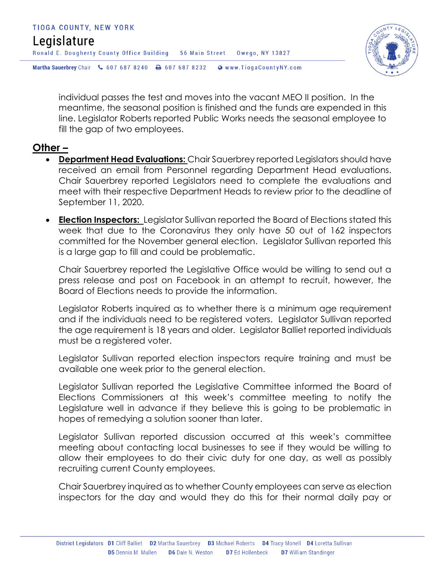



individual passes the test and moves into the vacant MEO II position. In the meantime, the seasonal position is finished and the funds are expended in this line. Legislator Roberts reported Public Works needs the seasonal employee to fill the gap of two employees.

## **Other –**

- **Department Head Evaluations:** Chair Sauerbrey reported Legislators should have received an email from Personnel regarding Department Head evaluations. Chair Sauerbrey reported Legislators need to complete the evaluations and meet with their respective Department Heads to review prior to the deadline of September 11, 2020.
- **Election Inspectors:** Legislator Sullivan reported the Board of Elections stated this week that due to the Coronavirus they only have 50 out of 162 inspectors committed for the November general election. Legislator Sullivan reported this is a large gap to fill and could be problematic.

Chair Sauerbrey reported the Legislative Office would be willing to send out a press release and post on Facebook in an attempt to recruit, however, the Board of Elections needs to provide the information.

Legislator Roberts inquired as to whether there is a minimum age requirement and if the individuals need to be registered voters. Legislator Sullivan reported the age requirement is 18 years and older. Legislator Balliet reported individuals must be a registered voter.

Legislator Sullivan reported election inspectors require training and must be available one week prior to the general election.

Legislator Sullivan reported the Legislative Committee informed the Board of Elections Commissioners at this week's committee meeting to notify the Legislature well in advance if they believe this is going to be problematic in hopes of remedying a solution sooner than later.

Legislator Sullivan reported discussion occurred at this week's committee meeting about contacting local businesses to see if they would be willing to allow their employees to do their civic duty for one day, as well as possibly recruiting current County employees.

Chair Sauerbrey inquired as to whether County employees can serve as election inspectors for the day and would they do this for their normal daily pay or